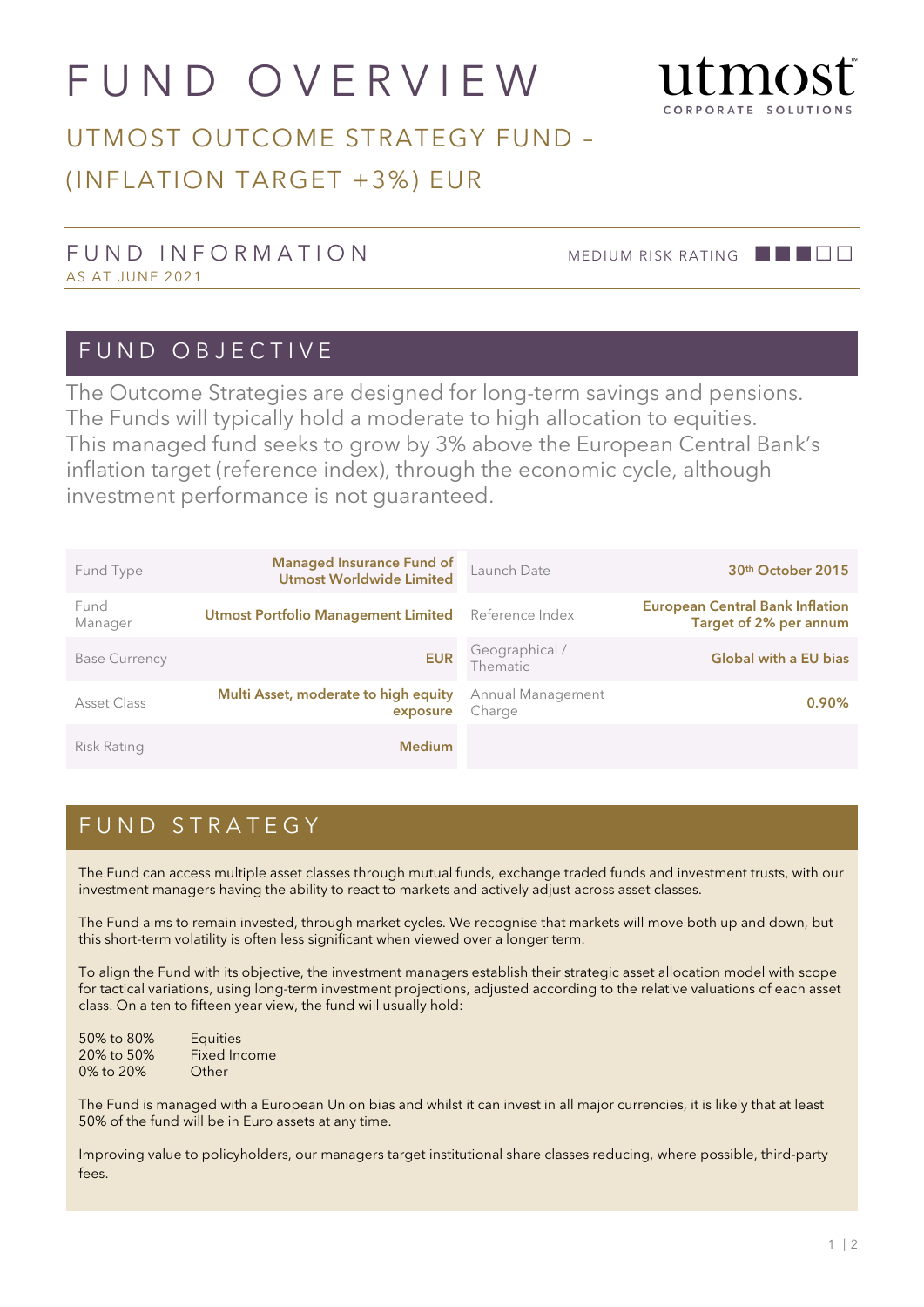# FUND OVERVIEW



## UTMOST OUTCOME STRATEGY FUND – (INFLATION TARGET +3%) EUR

#### FUND INFORMATION MEDIUM RISK RATING **ALLER**OO AS AT JUNE 2021

#### FUND OBJECTIVE

The Outcome Strategies are designed for long-term savings and pensions. The Funds will typically hold a moderate to high allocation to equities. This managed fund seeks to grow by 3% above the European Central Bank's inflation target (reference index), through the economic cycle, although investment performance is not guaranteed.

| Fund Type            | <b>Managed Insurance Fund of</b><br><b>Utmost Worldwide Limited</b> | Launch Date                 | 30 <sup>th</sup> October 2015                                    |
|----------------------|---------------------------------------------------------------------|-----------------------------|------------------------------------------------------------------|
| Fund<br>Manager      | <b>Utmost Portfolio Management Limited</b>                          | Reference Index             | <b>European Central Bank Inflation</b><br>Target of 2% per annum |
| <b>Base Currency</b> | <b>EUR</b>                                                          | Geographical /<br>Thematic  | <b>Global with a EU bias</b>                                     |
| Asset Class          | Multi Asset, moderate to high equity<br>exposure                    | Annual Management<br>Charge | 0.90%                                                            |
| Risk Rating          | <b>Medium</b>                                                       |                             |                                                                  |

### FUND STRATEGY

The Fund can access multiple asset classes through mutual funds, exchange traded funds and investment trusts, with our investment managers having the ability to react to markets and actively adjust across asset classes.

The Fund aims to remain invested, through market cycles. We recognise that markets will move both up and down, but this short-term volatility is often less significant when viewed over a longer term.

To align the Fund with its objective, the investment managers establish their strategic asset allocation model with scope for tactical variations, using long-term investment projections, adjusted according to the relative valuations of each asset class. On a ten to fifteen year view, the fund will usually hold:

| 50% to 80% | <b>Equities</b> |
|------------|-----------------|
| 20% to 50% | Fixed Income    |
| 0% to 20%  | Other           |

The Fund is managed with a European Union bias and whilst it can invest in all major currencies, it is likely that at least 50% of the fund will be in Euro assets at any time.

Improving value to policyholders, our managers target institutional share classes reducing, where possible, third-party fees.